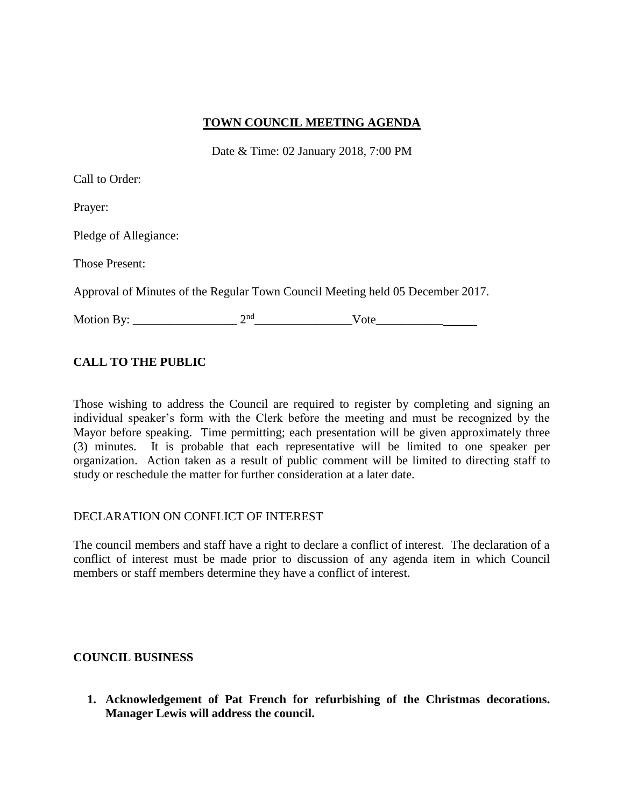### **TOWN COUNCIL MEETING AGENDA**

Date & Time: 02 January 2018, 7:00 PM

Call to Order:

Prayer:

Pledge of Allegiance:

Those Present:

Approval of Minutes of the Regular Town Council Meeting held 05 December 2017.

Motion By: \_\_\_\_\_\_\_\_\_\_\_\_\_\_\_\_\_ 2nd\_\_\_\_\_\_\_\_\_\_\_\_\_\_\_\_Vote\_\_\_\_\_\_\_\_\_\_\_

## **CALL TO THE PUBLIC**

Those wishing to address the Council are required to register by completing and signing an individual speaker's form with the Clerk before the meeting and must be recognized by the Mayor before speaking. Time permitting; each presentation will be given approximately three (3) minutes. It is probable that each representative will be limited to one speaker per organization. Action taken as a result of public comment will be limited to directing staff to study or reschedule the matter for further consideration at a later date.

### DECLARATION ON CONFLICT OF INTEREST

The council members and staff have a right to declare a conflict of interest. The declaration of a conflict of interest must be made prior to discussion of any agenda item in which Council members or staff members determine they have a conflict of interest.

### **COUNCIL BUSINESS**

**1. Acknowledgement of Pat French for refurbishing of the Christmas decorations. Manager Lewis will address the council.**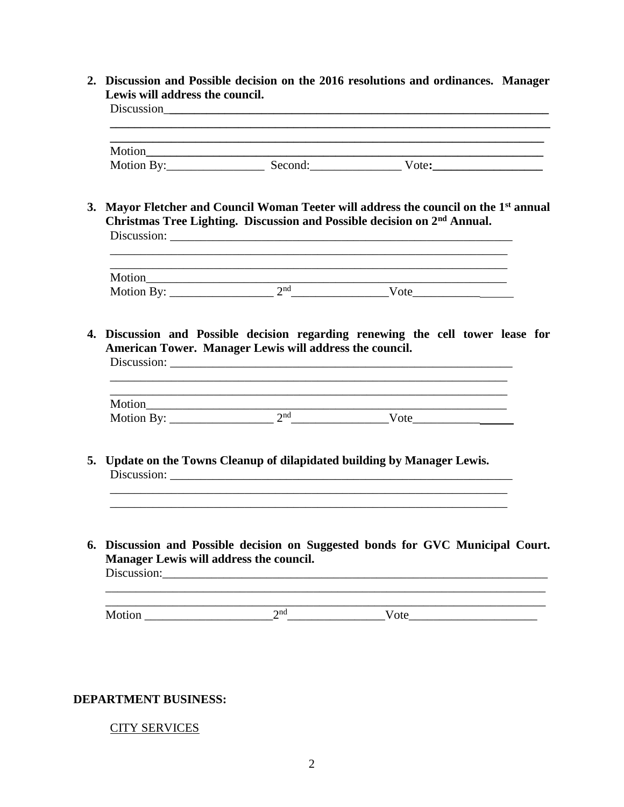**2. Discussion and Possible decision on the 2016 resolutions and ordinances. Manager Lewis will address the council.**

Discussion\_**\_\_\_\_\_\_\_\_\_\_\_\_\_\_\_\_\_\_\_\_\_\_\_\_\_\_\_\_\_\_\_\_\_\_\_\_\_\_\_\_\_\_\_\_\_\_\_\_\_\_\_\_\_\_\_\_\_\_\_\_\_\_ \_\_\_\_\_\_\_\_\_\_\_\_\_\_\_\_\_\_\_\_\_\_\_\_\_\_\_\_\_\_\_\_\_\_\_\_\_\_\_\_\_\_\_\_\_\_\_\_\_\_\_\_\_\_\_\_\_\_\_\_\_\_\_\_\_\_\_\_\_\_\_** Motion**\_\_\_\_\_\_\_\_\_\_\_\_\_\_\_\_\_\_\_\_\_\_\_\_\_\_\_\_\_\_\_\_\_\_\_\_\_\_\_\_\_\_\_\_\_\_\_\_\_\_\_\_\_\_\_\_\_\_\_\_\_\_\_\_\_** Motion By: Second: Vote: **3. Mayor Fletcher and Council Woman Teeter will address the council on the 1st annual Christmas Tree Lighting. Discussion and Possible decision on 2nd Annual.**  Discussion: \_\_\_\_\_\_\_\_\_\_\_\_\_\_\_\_\_\_\_\_\_\_\_\_\_\_\_\_\_\_\_\_\_\_\_\_\_\_\_\_\_\_\_\_\_\_\_\_\_\_\_\_\_\_\_\_  $\mathcal{L}_\text{max}$  , and the set of the set of the set of the set of the set of the set of the set of the set of the set of the set of the set of the set of the set of the set of the set of the set of the set of the set of the \_\_\_\_\_\_\_\_\_\_\_\_\_\_\_\_\_\_\_\_\_\_\_\_\_\_\_\_\_\_\_\_\_\_\_\_\_\_\_\_\_\_\_\_\_\_\_\_\_\_\_\_\_\_\_\_\_\_\_\_\_\_\_\_\_ Motion\_\_\_\_\_\_\_\_\_\_\_\_\_\_\_\_\_\_\_\_\_\_\_\_\_\_\_\_\_\_\_\_\_\_\_\_\_\_\_\_\_\_\_\_\_\_\_\_\_\_\_\_\_\_\_\_\_\_\_ Motion By: \_\_\_\_\_\_\_\_\_\_\_\_\_\_\_\_\_ 2nd\_\_\_\_\_\_\_\_\_\_\_\_\_\_\_\_Vote\_\_\_\_\_\_\_\_\_\_\_ **4. Discussion and Possible decision regarding renewing the cell tower lease for American Tower. Manager Lewis will address the council.** Discussion: \_\_\_\_\_\_\_\_\_\_\_\_\_\_\_\_\_\_\_\_\_\_\_\_\_\_\_\_\_\_\_\_\_\_\_\_\_\_\_\_\_\_\_\_\_\_\_\_\_\_\_\_\_\_\_\_ Motion\_\_\_\_\_\_\_\_\_\_\_\_\_\_\_\_\_\_\_\_\_\_\_\_\_\_\_\_\_\_\_\_\_\_\_\_\_\_\_\_\_\_\_\_\_\_\_\_\_\_\_\_\_\_\_\_\_\_\_ Motion By: \_\_\_\_\_\_\_\_\_\_\_\_\_\_\_\_\_ 2nd\_\_\_\_\_\_\_\_\_\_\_\_\_\_\_\_Vote\_\_\_\_\_\_\_\_\_\_\_ **5. Update on the Towns Cleanup of dilapidated building by Manager Lewis.**  Discussion: \_\_\_\_\_\_\_\_\_\_\_\_\_\_\_\_\_\_\_\_\_\_\_\_\_\_\_\_\_\_\_\_\_\_\_\_\_\_\_\_\_\_\_\_\_\_\_\_\_\_\_\_\_\_\_\_ \_\_\_\_\_\_\_\_\_\_\_\_\_\_\_\_\_\_\_\_\_\_\_\_\_\_\_\_\_\_\_\_\_\_\_\_\_\_\_\_\_\_\_\_\_\_\_\_\_\_\_\_\_\_\_\_\_\_\_\_\_\_\_\_\_ \_\_\_\_\_\_\_\_\_\_\_\_\_\_\_\_\_\_\_\_\_\_\_\_\_\_\_\_\_\_\_\_\_\_\_\_\_\_\_\_\_\_\_\_\_\_\_\_\_\_\_\_\_\_\_\_\_\_\_\_\_\_\_\_\_ **6. Discussion and Possible decision on Suggested bonds for GVC Municipal Court. Manager Lewis will address the council.**  Discussion:\_\_\_\_\_\_\_\_\_\_\_\_\_\_\_\_\_\_\_\_\_\_\_\_\_\_\_\_\_\_\_\_\_\_\_\_\_\_\_\_\_\_\_\_\_\_\_\_\_\_\_\_\_\_\_\_\_\_\_\_\_\_\_ \_\_\_\_\_\_\_\_\_\_\_\_\_\_\_\_\_\_\_\_\_\_\_\_\_\_\_\_\_\_\_\_\_\_\_\_\_\_\_\_\_\_\_\_\_\_\_\_\_\_\_\_\_\_\_\_\_\_\_\_\_\_\_\_\_\_\_\_\_\_\_\_ Motion \_\_\_\_\_\_\_\_\_\_\_\_\_\_\_\_\_\_\_\_\_2nd\_\_\_\_\_\_\_\_\_\_\_\_\_\_\_\_Vote\_\_\_\_\_\_\_\_\_\_\_\_\_\_\_\_\_\_\_\_\_

#### **DEPARTMENT BUSINESS:**

### CITY SERVICES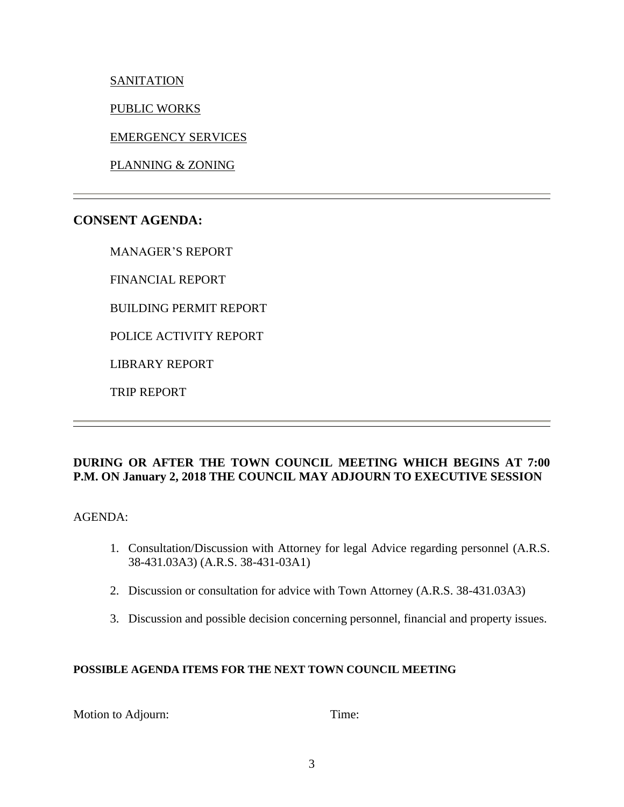**SANITATION** 

PUBLIC WORKS

EMERGENCY SERVICES

PLANNING & ZONING

# **CONSENT AGENDA:**

MANAGER'S REPORT

FINANCIAL REPORT

BUILDING PERMIT REPORT

POLICE ACTIVITY REPORT

LIBRARY REPORT

TRIP REPORT

## **DURING OR AFTER THE TOWN COUNCIL MEETING WHICH BEGINS AT 7:00 P.M. ON January 2, 2018 THE COUNCIL MAY ADJOURN TO EXECUTIVE SESSION**

AGENDA:

- 1. Consultation/Discussion with Attorney for legal Advice regarding personnel (A.R.S. 38-431.03A3) (A.R.S. 38-431-03A1)
- 2. Discussion or consultation for advice with Town Attorney (A.R.S. 38-431.03A3)
- 3. Discussion and possible decision concerning personnel, financial and property issues.

## **POSSIBLE AGENDA ITEMS FOR THE NEXT TOWN COUNCIL MEETING**

Motion to Adjourn: Time: